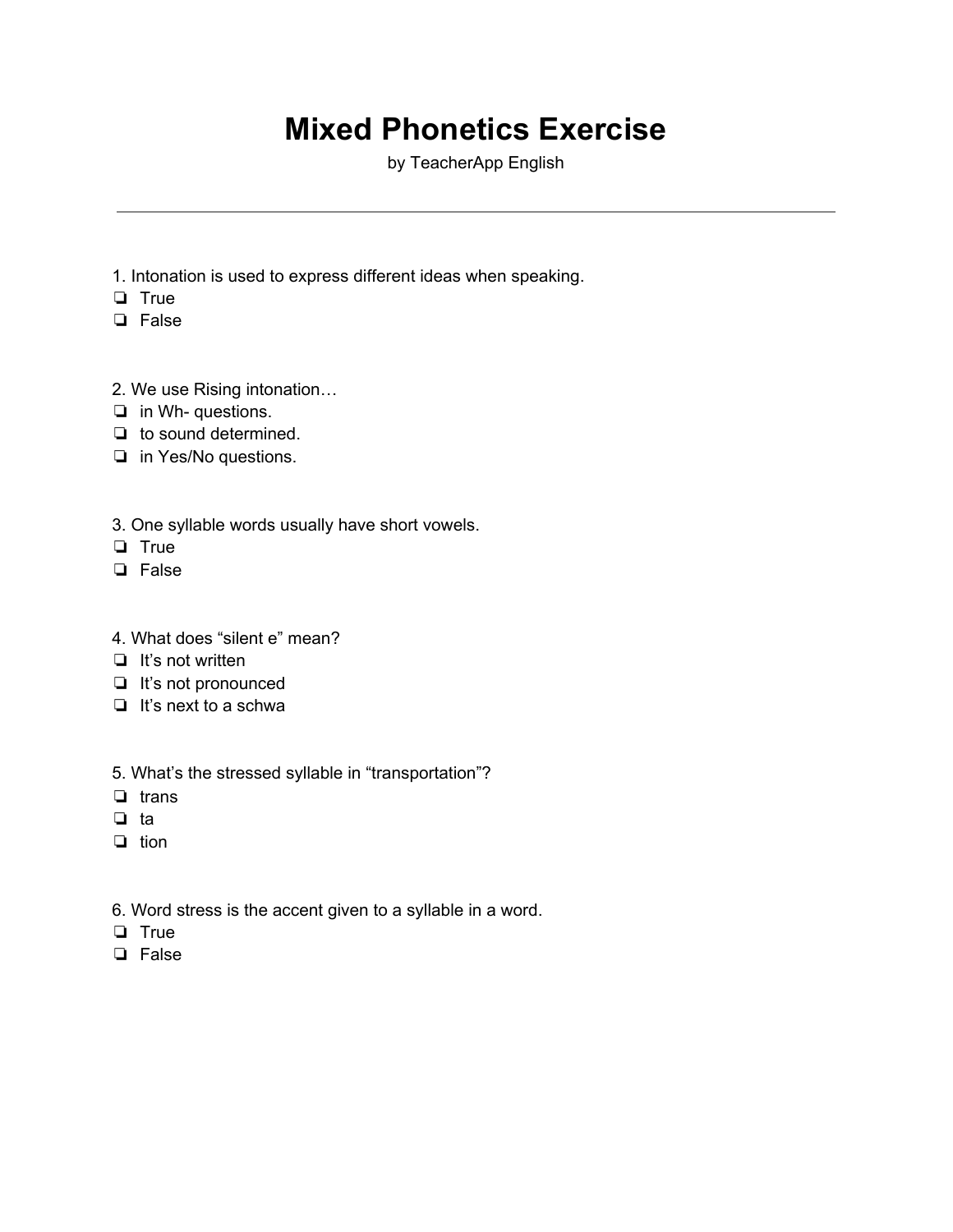# **Mixed Phonetics Exercise**

by TeacherApp English

- 1. Intonation is used to express different ideas when speaking.
- ❏ True
- ❏ False
- 2. We use Rising intonation…
- ❏ in Wh- questions.
- ❏ to sound determined.
- ❏ in Yes/No questions.
- 3. One syllable words usually have short vowels.
- ❏ True
- ❏ False
- 4. What does "silent e" mean?
- ❏ It's not written
- ❏ It's not pronounced
- ❏ It's next to a schwa
- 5. What's the stressed syllable in "transportation"?
- ❏ trans
- ❏ ta
- ❏ tion
- 6. Word stress is the accent given to a syllable in a word.
- ❏ True
- ❏ False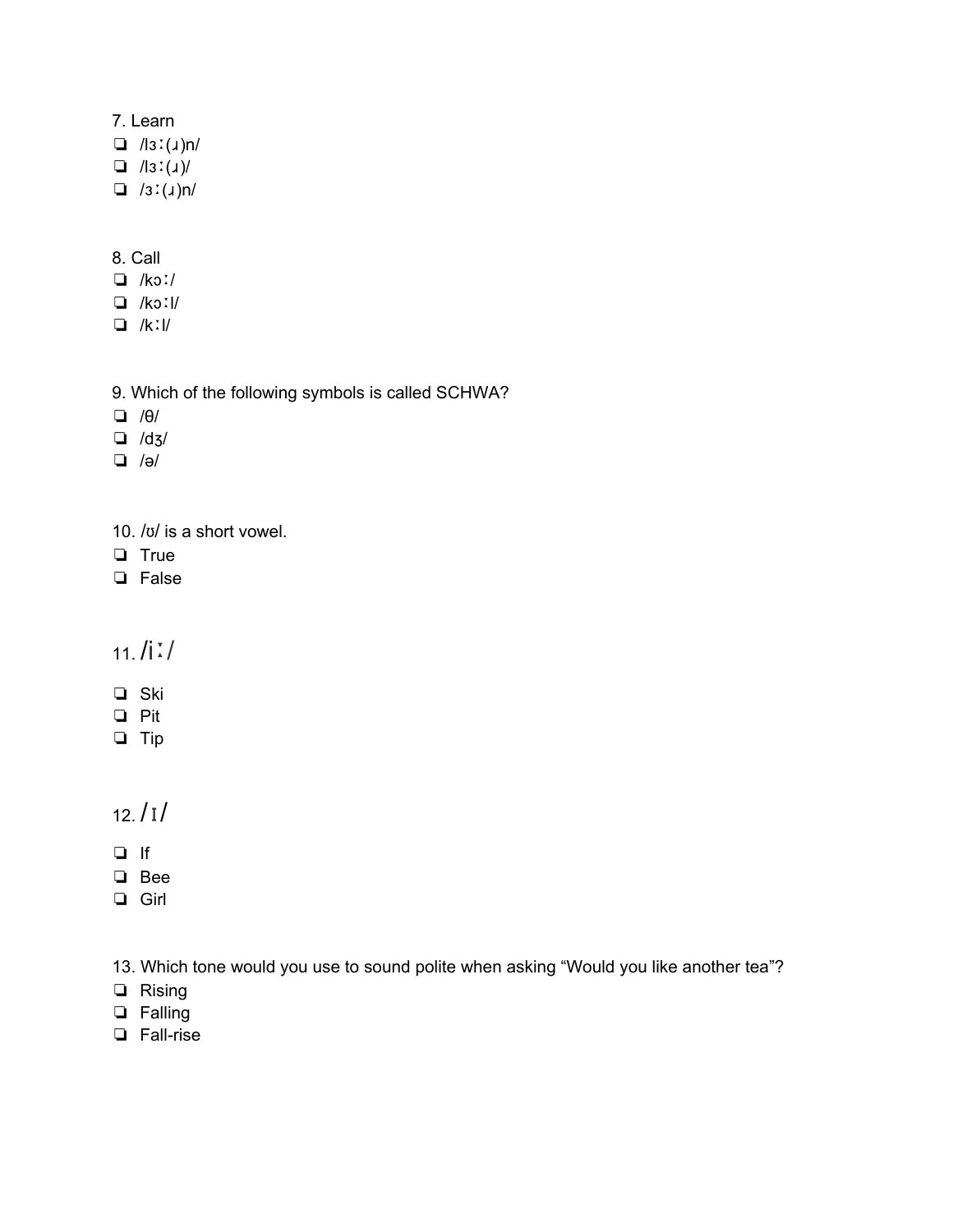#### 7. Learn

- $\Box$  /lɜː(ɹ)n/
- $\Box$  /lɜː(ɹ)/
- ❏ /ɜː(ɹ)n/

#### 8. Call

- ❏ /kɔː/
- ❏ /kɔːl/
- ❏ /kːl/
- 9. Which of the following symbols is called SCHWA?
- ❏ /θ/
- ❏ /dʒ/
- ❏ /ə/
- 10. /ʊ/ is a short vowel.
- ❏ True
- ❏ False

#### $11.$  /i  $\frac{1}{2}$ /

- ❏ Ski
- ❏ Pit
- ❏ Tip

### $12. / 1/$

- ❏ If
- ❏ Bee
- ❏ Girl

13. Which tone would you use to sound polite when asking "Would you like another tea"?

- ❏ Rising
- ❏ Falling
- ❏ Fall-rise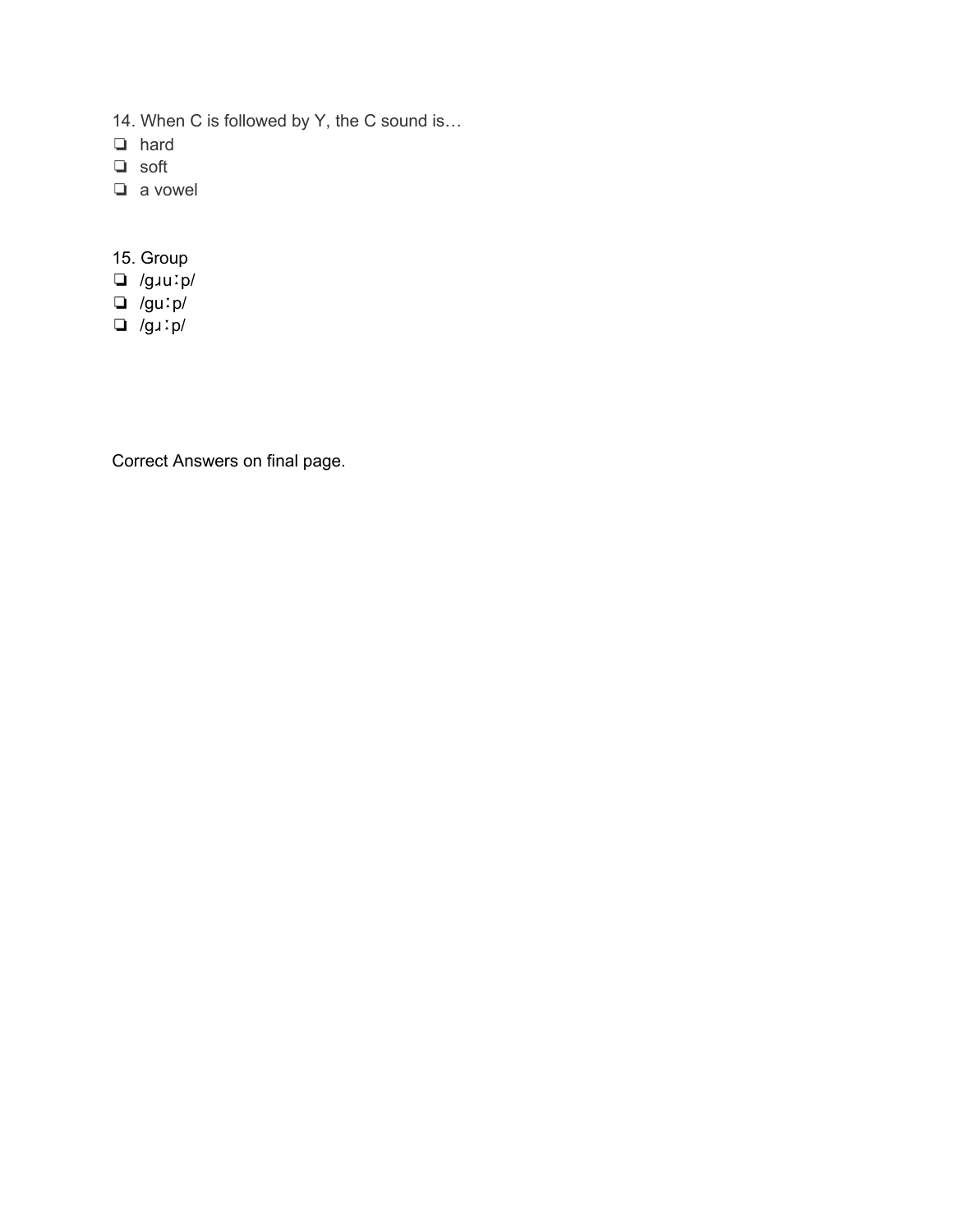- 14. When C is followed by Y, the C sound is…
- ❏ hard
- ❏ soft
- ❏ a vowel
- 15. Group
- ❏ /gɹuːp/
- ❏ /guːp/
- ❏ /gɹːp/

Correct Answers on final page.